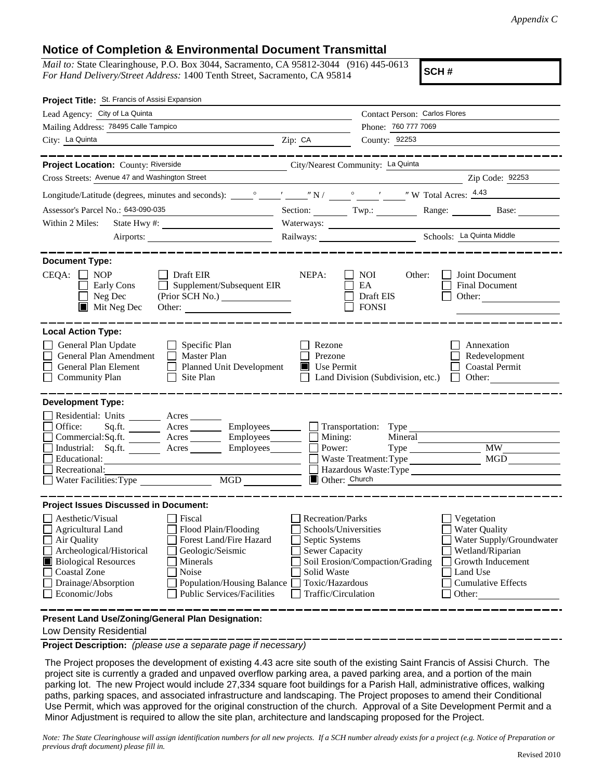## **Notice of Completion & Environmental Document Transmittal**

*Mail to:* State Clearinghouse, P.O. Box 3044, Sacramento, CA 95812-3044 (916) 445-0613 *For Hand Delivery/Street Address:* 1400 Tenth Street, Sacramento, CA 95814

**SCH #**

| Project Title: St. Francis of Assisi Expansion                                                                                                                                                                                                                                                                                                                                                                             |                                                                                                                                              |                                                  |                                                                                                                                                            |
|----------------------------------------------------------------------------------------------------------------------------------------------------------------------------------------------------------------------------------------------------------------------------------------------------------------------------------------------------------------------------------------------------------------------------|----------------------------------------------------------------------------------------------------------------------------------------------|--------------------------------------------------|------------------------------------------------------------------------------------------------------------------------------------------------------------|
| Lead Agency: City of La Quinta                                                                                                                                                                                                                                                                                                                                                                                             |                                                                                                                                              | Contact Person: Carlos Flores                    |                                                                                                                                                            |
| Mailing Address: 78495 Calle Tampico                                                                                                                                                                                                                                                                                                                                                                                       | Phone: 760 777 7069                                                                                                                          |                                                  |                                                                                                                                                            |
| City: La Quinta                                                                                                                                                                                                                                                                                                                                                                                                            | Zip: CA                                                                                                                                      | County: 92253                                    |                                                                                                                                                            |
|                                                                                                                                                                                                                                                                                                                                                                                                                            |                                                                                                                                              |                                                  |                                                                                                                                                            |
| Project Location: County: Riverside                                                                                                                                                                                                                                                                                                                                                                                        |                                                                                                                                              | City/Nearest Community: La Quinta                |                                                                                                                                                            |
| Cross Streets: Avenue 47 and Washington Street                                                                                                                                                                                                                                                                                                                                                                             |                                                                                                                                              |                                                  | Zip Code: 92253                                                                                                                                            |
|                                                                                                                                                                                                                                                                                                                                                                                                                            |                                                                                                                                              |                                                  |                                                                                                                                                            |
| Assessor's Parcel No.: 643-090-035                                                                                                                                                                                                                                                                                                                                                                                         |                                                                                                                                              |                                                  | Section: Twp.: Range: Base:                                                                                                                                |
| Within 2 Miles:                                                                                                                                                                                                                                                                                                                                                                                                            |                                                                                                                                              | Waterways:                                       |                                                                                                                                                            |
|                                                                                                                                                                                                                                                                                                                                                                                                                            |                                                                                                                                              | Railways: Schools: La Quinta Middle              |                                                                                                                                                            |
| <b>Document Type:</b><br>$CEQA: \Box NP$<br>$\Box$ Draft EIR<br>Supplement/Subsequent EIR<br>Early Cons<br>$\Box$<br>$\Box$ Neg Dec<br>$\blacksquare$ Mit Neg Dec<br>Other:                                                                                                                                                                                                                                                | NEPA:                                                                                                                                        | NOI<br>Other:<br>EA<br>Draft EIS<br><b>FONSI</b> | Joint Document<br>Final Document<br>Other: $\qquad \qquad$                                                                                                 |
| <b>Local Action Type:</b><br>General Plan Update<br>$\Box$ Specific Plan<br>General Plan Amendment<br>$\Box$ Master Plan<br>General Plan Element<br>$\Box$ Planned Unit Development<br><b>Community Plan</b><br>Site Plan<br>$\perp$                                                                                                                                                                                       | Rezone<br>Prezone<br><b>Use Permit</b>                                                                                                       | Land Division (Subdivision, etc.) $\Box$         | Annexation<br>Redevelopment<br><b>Coastal Permit</b><br>Other:                                                                                             |
| <b>Development Type:</b>                                                                                                                                                                                                                                                                                                                                                                                                   |                                                                                                                                              |                                                  |                                                                                                                                                            |
| Residential: Units ________ Acres _______<br>Office:<br>Sq.ft. ________ Acres _________ Employees ________ __ Transportation: Type _______<br>Commercial:Sq.ft. ________ Acres ________ Employees _______ $\Box$<br>Industrial: Sq.ft.<br>Acres _________ Employees__________ ___<br>Educational:<br>Recreational:<br>MGD<br>Water Facilities: Type                                                                        | Mining:<br>Power:<br>Other: Church                                                                                                           | Mineral<br>Waste Treatment: Type                 | $\overline{\text{MW}}$<br><b>MGD</b><br>Hazardous Waste: Type                                                                                              |
| <b>Project Issues Discussed in Document:</b>                                                                                                                                                                                                                                                                                                                                                                               |                                                                                                                                              |                                                  |                                                                                                                                                            |
| Aesthetic/Visual<br>Fiscal<br><b>Agricultural Land</b><br>Flood Plain/Flooding<br>Forest Land/Fire Hazard<br>Air Quality<br>Archeological/Historical<br>Geologic/Seismic<br><b>Biological Resources</b><br>Minerals<br><b>Coastal Zone</b><br>Noise<br>Drainage/Absorption<br><b>Population/Housing Balance</b><br>Economic/Jobs<br><b>Public Services/Facilities</b><br>Present Land Use/Zoning/General Plan Designation: | <b>Recreation/Parks</b><br>Schools/Universities<br>Septic Systems<br>Sewer Capacity<br>Solid Waste<br>Toxic/Hazardous<br>Traffic/Circulation | Soil Erosion/Compaction/Grading                  | Vegetation<br><b>Water Quality</b><br>Water Supply/Groundwater<br>Wetland/Riparian<br>Growth Inducement<br>Land Use<br><b>Cumulative Effects</b><br>Other: |
|                                                                                                                                                                                                                                                                                                                                                                                                                            |                                                                                                                                              |                                                  |                                                                                                                                                            |

Low Density Residential

**Project Description:** *(please use a separate page if necessary)*

 The Project proposes the development of existing 4.43 acre site south of the existing Saint Francis of Assisi Church. The project site is currently a graded and unpaved overflow parking area, a paved parking area, and a portion of the main parking lot. The new Project would include 27,334 square foot buildings for a Parish Hall, administrative offices, walking paths, parking spaces, and associated infrastructure and landscaping. The Project proposes to amend their Conditional Use Permit, which was approved for the original construction of the church. Approval of a Site Development Permit and a Minor Adjustment is required to allow the site plan, architecture and landscaping proposed for the Project.

*Note: The State Clearinghouse will assign identification numbers for all new projects. If a SCH number already exists for a project (e.g. Notice of Preparation or previous draft document) please fill in.*